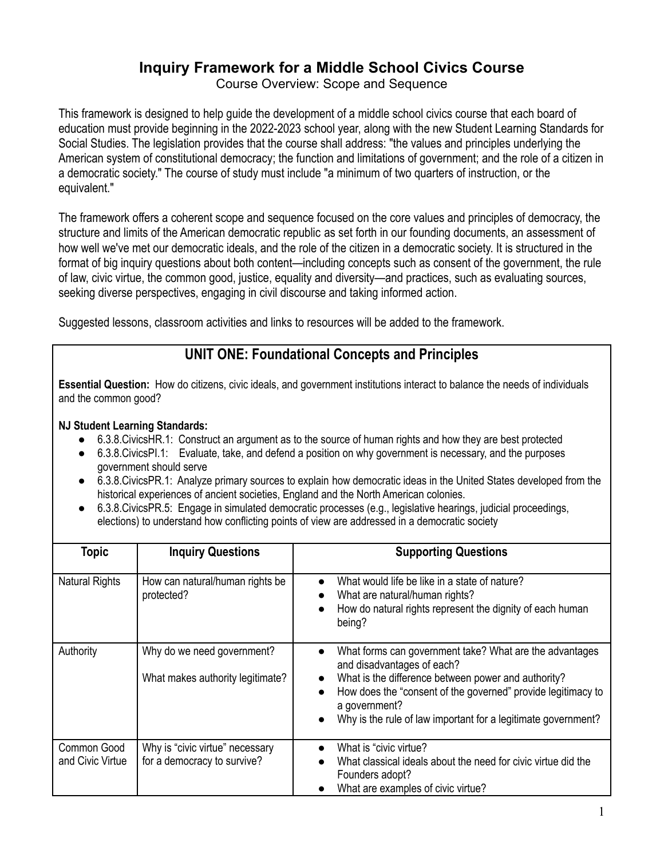## **Inquiry Framework for a Middle School Civics Course**

Course Overview: Scope and Sequence

This framework is designed to help guide the development of a middle school civics course that each board of education must provide beginning in the 2022-2023 school year, along with the new Student Learning Standards for Social Studies. The legislation provides that the course shall address: "the values and principles underlying the American system of constitutional democracy; the function and limitations of government; and the role of a citizen in a democratic society." The course of study must include "a minimum of two quarters of instruction, or the equivalent."

The framework offers a coherent scope and sequence focused on the core values and principles of democracy, the structure and limits of the American democratic republic as set forth in our founding documents, an assessment of how well we've met our democratic ideals, and the role of the citizen in a democratic society. It is structured in the format of big inquiry questions about both content—including concepts such as consent of the government, the rule of law, civic virtue, the common good, justice, equality and diversity—and practices, such as evaluating sources, seeking diverse perspectives, engaging in civil discourse and taking informed action.

Suggested lessons, classroom activities and links to resources will be added to the framework.

## **UNIT ONE: Foundational Concepts and Principles**

**Essential Question:** How do citizens, civic ideals, and government institutions interact to balance the needs of individuals and the common good?

- 6.3.8. Civics HR. 1: Construct an argument as to the source of human rights and how they are best protected
- 6.3.8.CivicsPI.1: Evaluate, take, and defend a position on why government is necessary, and the purposes government should serve
- 6.3.8.CivicsPR.1: Analyze primary sources to explain how democratic ideas in the United States developed from the historical experiences of ancient societies, England and the North American colonies.
- 6.3.8. Civics PR.5: Engage in simulated democratic processes (e.g., legislative hearings, judicial proceedings, elections) to understand how conflicting points of view are addressed in a democratic society

| <b>Topic</b>                    | <b>Inquiry Questions</b>                                       | <b>Supporting Questions</b>                                                                                                                                                                                                                                                                    |
|---------------------------------|----------------------------------------------------------------|------------------------------------------------------------------------------------------------------------------------------------------------------------------------------------------------------------------------------------------------------------------------------------------------|
| <b>Natural Rights</b>           | How can natural/human rights be<br>protected?                  | What would life be like in a state of nature?<br>What are natural/human rights?<br>How do natural rights represent the dignity of each human<br>being?                                                                                                                                         |
| Authority                       | Why do we need government?<br>What makes authority legitimate? | What forms can government take? What are the advantages<br>and disadvantages of each?<br>What is the difference between power and authority?<br>How does the "consent of the governed" provide legitimacy to<br>a government?<br>Why is the rule of law important for a legitimate government? |
| Common Good<br>and Civic Virtue | Why is "civic virtue" necessary<br>for a democracy to survive? | What is "civic virtue?<br>What classical ideals about the need for civic virtue did the<br>Founders adopt?<br>What are examples of civic virtue?                                                                                                                                               |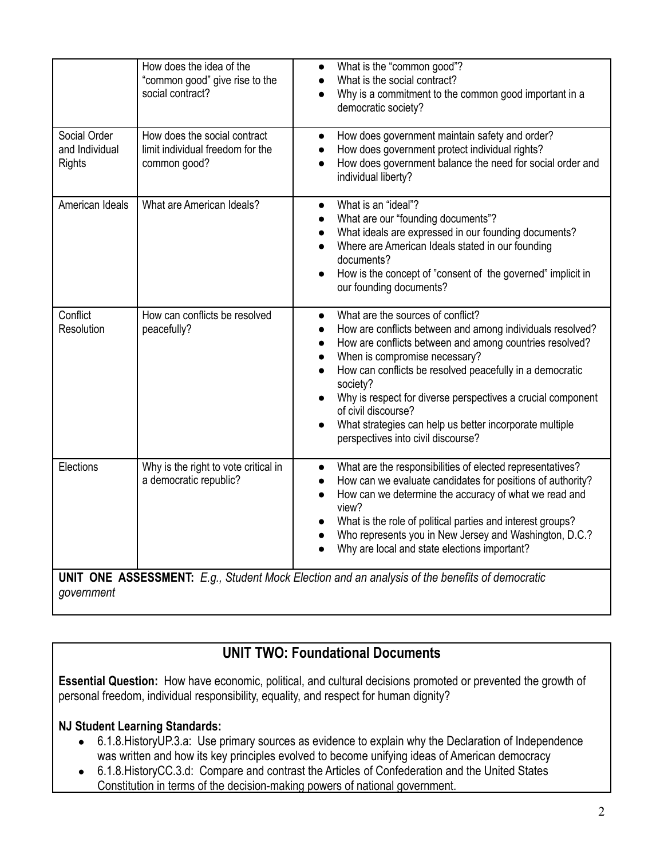|                                                                                                                     | How does the idea of the<br>"common good" give rise to the<br>social contract?   | What is the "common good"?<br>$\bullet$<br>What is the social contract?<br>$\bullet$<br>Why is a commitment to the common good important in a<br>$\bullet$<br>democratic society?                                                                                                                                                                                                                                                                                                                             |
|---------------------------------------------------------------------------------------------------------------------|----------------------------------------------------------------------------------|---------------------------------------------------------------------------------------------------------------------------------------------------------------------------------------------------------------------------------------------------------------------------------------------------------------------------------------------------------------------------------------------------------------------------------------------------------------------------------------------------------------|
| Social Order<br>and Individual<br><b>Rights</b>                                                                     | How does the social contract<br>limit individual freedom for the<br>common good? | How does government maintain safety and order?<br>$\bullet$<br>How does government protect individual rights?<br>$\bullet$<br>How does government balance the need for social order and<br>individual liberty?                                                                                                                                                                                                                                                                                                |
| American Ideals                                                                                                     | What are American Ideals?                                                        | What is an "ideal"?<br>$\bullet$<br>What are our "founding documents"?<br>$\bullet$<br>What ideals are expressed in our founding documents?<br>Where are American Ideals stated in our founding<br>documents?<br>How is the concept of "consent of the governed" implicit in<br>our founding documents?                                                                                                                                                                                                       |
| Conflict<br>Resolution                                                                                              | How can conflicts be resolved<br>peacefully?                                     | What are the sources of conflict?<br>$\bullet$<br>How are conflicts between and among individuals resolved?<br>$\bullet$<br>How are conflicts between and among countries resolved?<br>$\bullet$<br>When is compromise necessary?<br>$\bullet$<br>How can conflicts be resolved peacefully in a democratic<br>society?<br>Why is respect for diverse perspectives a crucial component<br>of civil discourse?<br>What strategies can help us better incorporate multiple<br>perspectives into civil discourse? |
| Elections                                                                                                           | Why is the right to vote critical in<br>a democratic republic?                   | What are the responsibilities of elected representatives?<br>$\bullet$<br>How can we evaluate candidates for positions of authority?<br>$\bullet$<br>How can we determine the accuracy of what we read and<br>$\bullet$<br>view?<br>What is the role of political parties and interest groups?<br>Who represents you in New Jersey and Washington, D.C.?<br>Why are local and state elections important?                                                                                                      |
| <b>UNIT ONE ASSESSMENT:</b> E.g., Student Mock Election and an analysis of the benefits of democratic<br>government |                                                                                  |                                                                                                                                                                                                                                                                                                                                                                                                                                                                                                               |

# **UNIT TWO: Foundational Documents**

**Essential Question:** How have economic, political, and cultural decisions promoted or prevented the growth of personal freedom, individual responsibility, equality, and respect for human dignity?

- 6.1.8.HistoryUP.3.a: Use primary sources as evidence to explain why the Declaration of Independence was written and how its key principles evolved to become unifying ideas of American democracy
- 6.1.8.HistoryCC.3.d: Compare and contrast the Articles of Confederation and the United States Constitution in terms of the decision-making powers of national government.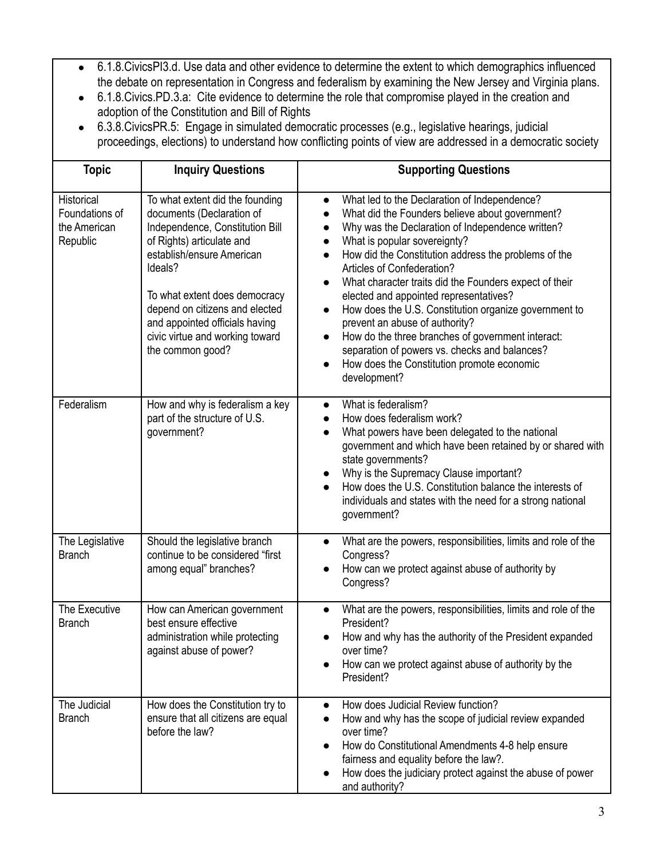- 6.1.8.CivicsPI3.d. Use data and other evidence to determine the extent to which demographics influenced the debate on representation in Congress and federalism by examining the New Jersey and Virginia plans.
- 6.1.8.Civics.PD.3.a: Cite evidence to determine the role that compromise played in the creation and adoption of the Constitution and Bill of Rights
- 6.3.8.CivicsPR.5: Engage in simulated democratic processes (e.g., legislative hearings, judicial proceedings, elections) to understand how conflicting points of view are addressed in a democratic society

| <b>Topic</b>                                             | <b>Inquiry Questions</b>                                                                                                                                                                                                                                                                                                         | <b>Supporting Questions</b>                                                                                                                                                                                                                                                                                                                                                                                                                                                                                                                                                                                                                                                                                                                                       |
|----------------------------------------------------------|----------------------------------------------------------------------------------------------------------------------------------------------------------------------------------------------------------------------------------------------------------------------------------------------------------------------------------|-------------------------------------------------------------------------------------------------------------------------------------------------------------------------------------------------------------------------------------------------------------------------------------------------------------------------------------------------------------------------------------------------------------------------------------------------------------------------------------------------------------------------------------------------------------------------------------------------------------------------------------------------------------------------------------------------------------------------------------------------------------------|
| Historical<br>Foundations of<br>the American<br>Republic | To what extent did the founding<br>documents (Declaration of<br>Independence, Constitution Bill<br>of Rights) articulate and<br>establish/ensure American<br>Ideals?<br>To what extent does democracy<br>depend on citizens and elected<br>and appointed officials having<br>civic virtue and working toward<br>the common good? | What led to the Declaration of Independence?<br>$\bullet$<br>What did the Founders believe about government?<br>$\bullet$<br>Why was the Declaration of Independence written?<br>$\bullet$<br>What is popular sovereignty?<br>$\bullet$<br>How did the Constitution address the problems of the<br>$\bullet$<br>Articles of Confederation?<br>What character traits did the Founders expect of their<br>$\bullet$<br>elected and appointed representatives?<br>How does the U.S. Constitution organize government to<br>$\bullet$<br>prevent an abuse of authority?<br>How do the three branches of government interact:<br>$\bullet$<br>separation of powers vs. checks and balances?<br>How does the Constitution promote economic<br>$\bullet$<br>development? |
| Federalism                                               | How and why is federalism a key<br>part of the structure of U.S.<br>government?                                                                                                                                                                                                                                                  | What is federalism?<br>$\bullet$<br>How does federalism work?<br>What powers have been delegated to the national<br>$\bullet$<br>government and which have been retained by or shared with<br>state governments?<br>Why is the Supremacy Clause important?<br>$\bullet$<br>How does the U.S. Constitution balance the interests of<br>individuals and states with the need for a strong national<br>government?                                                                                                                                                                                                                                                                                                                                                   |
| The Legislative<br><b>Branch</b>                         | Should the legislative branch<br>continue to be considered "first<br>among equal" branches?                                                                                                                                                                                                                                      | What are the powers, responsibilities, limits and role of the<br>$\bullet$<br>Congress?<br>How can we protect against abuse of authority by<br>$\bullet$<br>Congress?                                                                                                                                                                                                                                                                                                                                                                                                                                                                                                                                                                                             |
| The Executive<br><b>Branch</b>                           | How can American government<br>best ensure effective<br>administration while protecting<br>against abuse of power?                                                                                                                                                                                                               | What are the powers, responsibilities, limits and role of the<br>$\bullet$<br>President?<br>How and why has the authority of the President expanded<br>$\bullet$<br>over time?<br>How can we protect against abuse of authority by the<br>President?                                                                                                                                                                                                                                                                                                                                                                                                                                                                                                              |
| The Judicial<br><b>Branch</b>                            | How does the Constitution try to<br>ensure that all citizens are equal<br>before the law?                                                                                                                                                                                                                                        | How does Judicial Review function?<br>$\bullet$<br>How and why has the scope of judicial review expanded<br>over time?<br>How do Constitutional Amendments 4-8 help ensure<br>$\bullet$<br>fairness and equality before the law?.<br>How does the judiciary protect against the abuse of power<br>$\bullet$<br>and authority?                                                                                                                                                                                                                                                                                                                                                                                                                                     |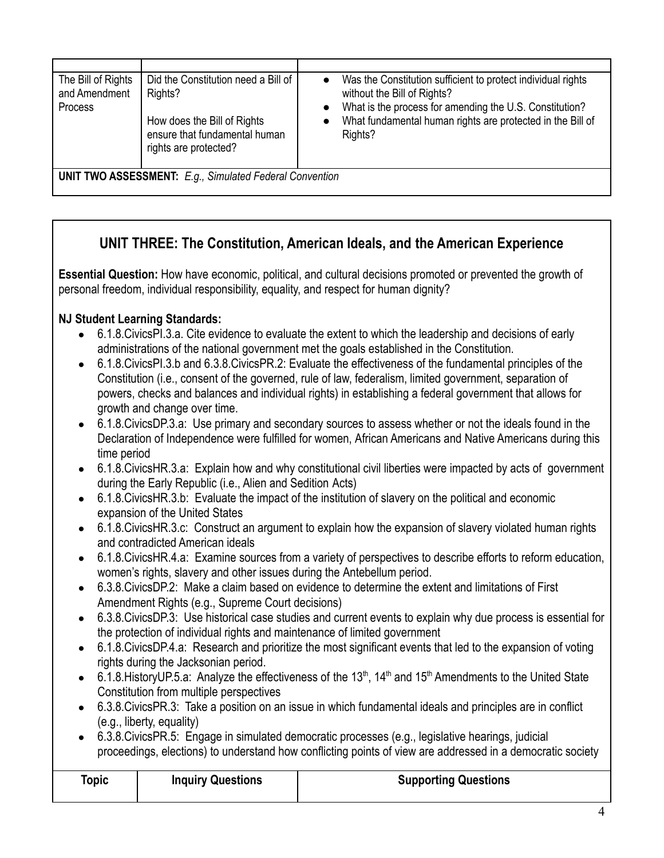| The Bill of Rights<br>and Amendment<br>Process | Did the Constitution need a Bill of<br>Rights?<br>How does the Bill of Rights<br>ensure that fundamental human<br>rights are protected? | Was the Constitution sufficient to protect individual rights<br>$\bullet$<br>without the Bill of Rights?<br>What is the process for amending the U.S. Constitution?<br>$\bullet$<br>What fundamental human rights are protected in the Bill of<br>Rights? |  |
|------------------------------------------------|-----------------------------------------------------------------------------------------------------------------------------------------|-----------------------------------------------------------------------------------------------------------------------------------------------------------------------------------------------------------------------------------------------------------|--|
|                                                | <b>UNIT TWO ASSESSMENT:</b> E.g., Simulated Federal Convention                                                                          |                                                                                                                                                                                                                                                           |  |

# **UNIT THREE: The Constitution, American Ideals, and the American Experience**

**Essential Question:** How have economic, political, and cultural decisions promoted or prevented the growth of personal freedom, individual responsibility, equality, and respect for human dignity?

- 6.1.8. Civics PI.3.a. Cite evidence to evaluate the extent to which the leadership and decisions of early administrations of the national government met the goals established in the Constitution.
- 6.1.8.CivicsPI.3.b and 6.3.8.CivicsPR.2: Evaluate the effectiveness of the fundamental principles of the Constitution (i.e., consent of the governed, rule of law, federalism, limited government, separation of powers, checks and balances and individual rights) in establishing a federal government that allows for growth and change over time.
- 6.1.8. Civics DP.3.a: Use primary and secondary sources to assess whether or not the ideals found in the Declaration of Independence were fulfilled for women, African Americans and Native Americans during this time period
- 6.1.8. Civics HR.3.a: Explain how and why constitutional civil liberties were impacted by acts of government during the Early Republic (i.e., Alien and Sedition Acts)
- 6.1.8.CivicsHR.3.b: Evaluate the impact of the institution of slavery on the political and economic expansion of the United States
- 6.1.8. Civics HR. 3. c: Construct an argument to explain how the expansion of slavery violated human rights and contradicted American ideals
- 6.1.8.CivicsHR.4.a: Examine sources from a variety of perspectives to describe efforts to reform education, women's rights, slavery and other issues during the Antebellum period.
- 6.3.8.CivicsDP.2: Make a claim based on evidence to determine the extent and limitations of First Amendment Rights (e.g., Supreme Court decisions)
- 6.3.8.CivicsDP.3: Use historical case studies and current events to explain why due process is essential for the protection of individual rights and maintenance of limited government
- 6.1.8.CivicsDP.4.a: Research and prioritize the most significant events that led to the expansion of voting rights during the Jacksonian period.
- 6.1.8. History UP.5.a: Analyze the effectiveness of the 13<sup>th</sup>, 14<sup>th</sup> and 15<sup>th</sup> Amendments to the United State Constitution from multiple perspectives
- 6.3.8.CivicsPR.3: Take a position on an issue in which fundamental ideals and principles are in conflict (e.g., liberty, equality)
- 6.3.8.CivicsPR.5: Engage in simulated democratic processes (e.g., legislative hearings, judicial proceedings, elections) to understand how conflicting points of view are addressed in a democratic society

| Topic | <b>Inquiry Questions</b> | <b>Supporting Questions</b> |
|-------|--------------------------|-----------------------------|
|       |                          |                             |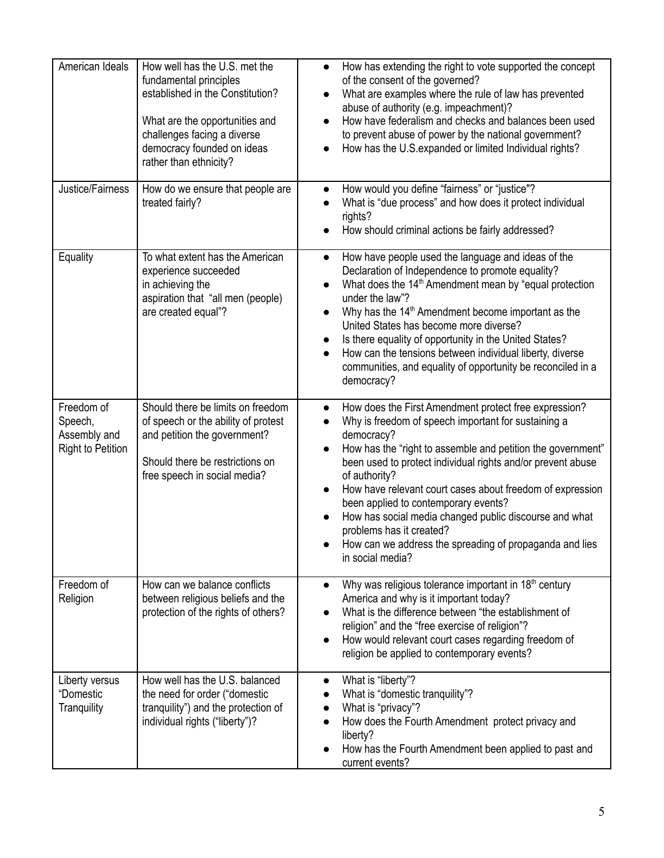| American Ideals                                                   | How well has the U.S. met the<br>fundamental principles<br>established in the Constitution?<br>What are the opportunities and<br>challenges facing a diverse<br>democracy founded on ideas<br>rather than ethnicity? | How has extending the right to vote supported the concept<br>$\bullet$<br>of the consent of the governed?<br>What are examples where the rule of law has prevented<br>abuse of authority (e.g. impeachment)?<br>How have federalism and checks and balances been used<br>to prevent abuse of power by the national government?<br>How has the U.S. expanded or limited Individual rights?                                                                                                                                                                        |
|-------------------------------------------------------------------|----------------------------------------------------------------------------------------------------------------------------------------------------------------------------------------------------------------------|------------------------------------------------------------------------------------------------------------------------------------------------------------------------------------------------------------------------------------------------------------------------------------------------------------------------------------------------------------------------------------------------------------------------------------------------------------------------------------------------------------------------------------------------------------------|
| Justice/Fairness                                                  | How do we ensure that people are<br>treated fairly?                                                                                                                                                                  | How would you define "fairness" or "justice"?<br>$\bullet$<br>What is "due process" and how does it protect individual<br>rights?<br>How should criminal actions be fairly addressed?                                                                                                                                                                                                                                                                                                                                                                            |
| Equality                                                          | To what extent has the American<br>experience succeeded<br>in achieving the<br>aspiration that "all men (people)<br>are created equal"?                                                                              | How have people used the language and ideas of the<br>$\bullet$<br>Declaration of Independence to promote equality?<br>What does the 14 <sup>th</sup> Amendment mean by "equal protection<br>under the law"?<br>Why has the 14 <sup>th</sup> Amendment become important as the<br>United States has become more diverse?<br>Is there equality of opportunity in the United States?<br>How can the tensions between individual liberty, diverse<br>$\bullet$<br>communities, and equality of opportunity be reconciled in a<br>democracy?                         |
| Freedom of<br>Speech,<br>Assembly and<br><b>Right to Petition</b> | Should there be limits on freedom<br>of speech or the ability of protest<br>and petition the government?<br>Should there be restrictions on<br>free speech in social media?                                          | How does the First Amendment protect free expression?<br>Why is freedom of speech important for sustaining a<br>democracy?<br>How has the "right to assemble and petition the government"<br>$\bullet$<br>been used to protect individual rights and/or prevent abuse<br>of authority?<br>How have relevant court cases about freedom of expression<br>been applied to contemporary events?<br>How has social media changed public discourse and what<br>problems has it created?<br>How can we address the spreading of propaganda and lies<br>in social media? |
| Freedom of<br>Religion                                            | How can we balance conflicts<br>between religious beliefs and the<br>protection of the rights of others?                                                                                                             | Why was religious tolerance important in 18 <sup>th</sup> century<br>$\bullet$<br>America and why is it important today?<br>What is the difference between "the establishment of<br>religion" and the "free exercise of religion"?<br>How would relevant court cases regarding freedom of<br>religion be applied to contemporary events?                                                                                                                                                                                                                         |
| Liberty versus<br>"Domestic<br>Tranquility                        | How well has the U.S. balanced<br>the need for order ("domestic<br>tranquility") and the protection of<br>individual rights ("liberty")?                                                                             | What is "liberty"?<br>What is "domestic tranquility"?<br>What is "privacy"?<br>How does the Fourth Amendment protect privacy and<br>liberty?<br>How has the Fourth Amendment been applied to past and<br>current events?                                                                                                                                                                                                                                                                                                                                         |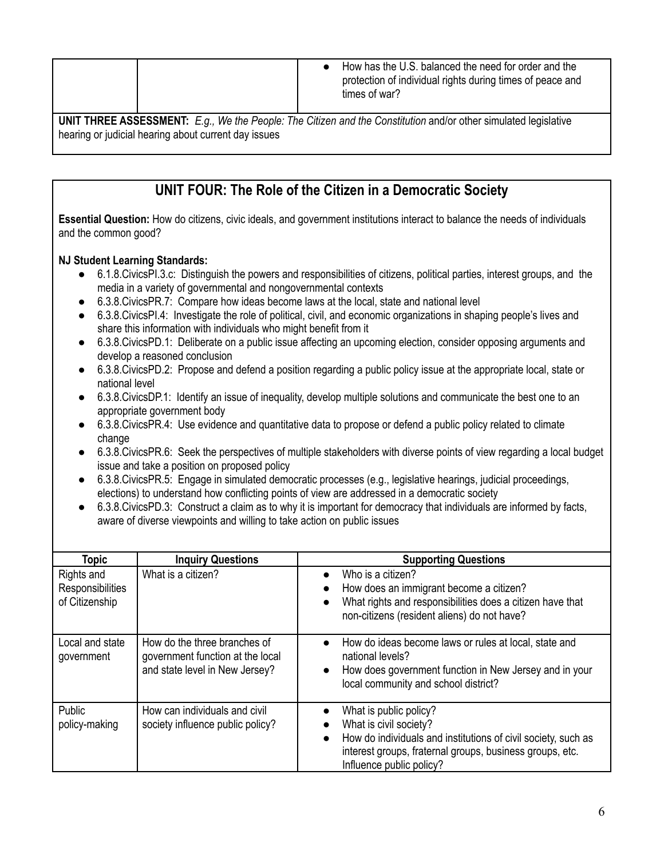|                                                                                                                        | How has the U.S. balanced the need for order and the<br>protection of individual rights during times of peace and<br>times of war? |  |
|------------------------------------------------------------------------------------------------------------------------|------------------------------------------------------------------------------------------------------------------------------------|--|
| <b>UNIT THREE ASSESSMENT:</b> $F_a$ We the People: The Citizen and the Constitution and/or other simulated legislative |                                                                                                                                    |  |

**UNIT THREE ASSESSMENT:** *E.g., We the People: The Citizen and the Constitution* and/or other simulated legislative hearing or judicial hearing about current day issues

# **UNIT FOUR: The Role of the Citizen in a Democratic Society**

**Essential Question:** How do citizens, civic ideals, and government institutions interact to balance the needs of individuals and the common good?

- 6.1.8.CivicsPI.3.c: Distinguish the powers and responsibilities of citizens, political parties, interest groups, and the media in a variety of governmental and nongovernmental contexts
- 6.3.8. Civics PR. 7: Compare how ideas become laws at the local, state and national level
- 6.3.8.CivicsPI.4: Investigate the role of political, civil, and economic organizations in shaping people's lives and share this information with individuals who might benefit from it
- 6.3.8.CivicsPD.1: Deliberate on a public issue affecting an upcoming election, consider opposing arguments and develop a reasoned conclusion
- 6.3.8. Civics PD. 2: Propose and defend a position regarding a public policy issue at the appropriate local, state or national level
- 6.3.8.CivicsDP.1: Identify an issue of inequality, develop multiple solutions and communicate the best one to an appropriate government body
- 6.3.8. Civics PR.4: Use evidence and quantitative data to propose or defend a public policy related to climate change
- 6.3.8.CivicsPR.6: Seek the perspectives of multiple stakeholders with diverse points of view regarding a local budget issue and take a position on proposed policy
- 6.3.8. Civics PR.5: Engage in simulated democratic processes (e.g., legislative hearings, judicial proceedings, elections) to understand how conflicting points of view are addressed in a democratic society
- 6.3.8. Civics PD.3: Construct a claim as to why it is important for democracy that individuals are informed by facts, aware of diverse viewpoints and willing to take action on public issues

| <b>Topic</b>                                     | <b>Inquiry Questions</b>                                                                           | <b>Supporting Questions</b>                                                                                                                                                                                            |
|--------------------------------------------------|----------------------------------------------------------------------------------------------------|------------------------------------------------------------------------------------------------------------------------------------------------------------------------------------------------------------------------|
| Rights and<br>Responsibilities<br>of Citizenship | What is a citizen?                                                                                 | Who is a citizen?<br>$\bullet$<br>How does an immigrant become a citizen?<br>$\bullet$<br>What rights and responsibilities does a citizen have that<br>$\bullet$<br>non-citizens (resident aliens) do not have?        |
| Local and state<br>government                    | How do the three branches of<br>government function at the local<br>and state level in New Jersey? | How do ideas become laws or rules at local, state and<br>$\bullet$<br>national levels?<br>How does government function in New Jersey and in your<br>$\bullet$<br>local community and school district?                  |
| Public<br>policy-making                          | How can individuals and civil<br>society influence public policy?                                  | What is public policy?<br>What is civil society?<br>How do individuals and institutions of civil society, such as<br>$\bullet$<br>interest groups, fraternal groups, business groups, etc.<br>Influence public policy? |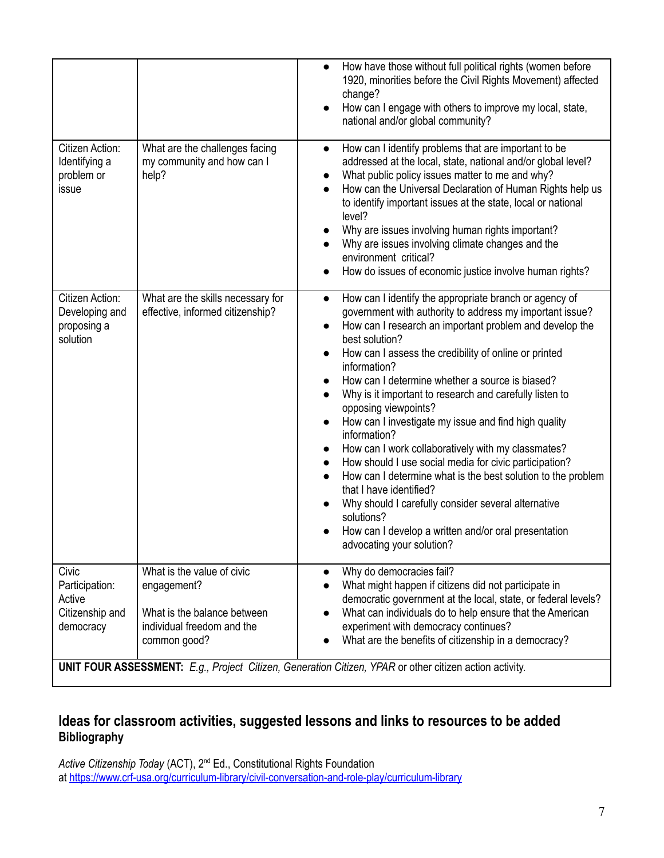|                                                                   |                                                                                                                        | How have those without full political rights (women before<br>$\bullet$<br>1920, minorities before the Civil Rights Movement) affected<br>change?<br>How can I engage with others to improve my local, state,<br>$\bullet$<br>national and/or global community?                                                                                                                                                                                                                                                                                                                                                                                                                                                                                                                                                                                                                                                                           |
|-------------------------------------------------------------------|------------------------------------------------------------------------------------------------------------------------|-------------------------------------------------------------------------------------------------------------------------------------------------------------------------------------------------------------------------------------------------------------------------------------------------------------------------------------------------------------------------------------------------------------------------------------------------------------------------------------------------------------------------------------------------------------------------------------------------------------------------------------------------------------------------------------------------------------------------------------------------------------------------------------------------------------------------------------------------------------------------------------------------------------------------------------------|
| Citizen Action:<br>Identifying a<br>problem or<br>issue           | What are the challenges facing<br>my community and how can I<br>help?                                                  | How can I identify problems that are important to be<br>$\bullet$<br>addressed at the local, state, national and/or global level?<br>What public policy issues matter to me and why?<br>How can the Universal Declaration of Human Rights help us<br>to identify important issues at the state, local or national<br>level?<br>Why are issues involving human rights important?<br>$\bullet$<br>Why are issues involving climate changes and the<br>environment critical?<br>How do issues of economic justice involve human rights?<br>$\bullet$                                                                                                                                                                                                                                                                                                                                                                                         |
| Citizen Action:<br>Developing and<br>proposing a<br>solution      | What are the skills necessary for<br>effective, informed citizenship?                                                  | How can I identify the appropriate branch or agency of<br>$\bullet$<br>government with authority to address my important issue?<br>How can I research an important problem and develop the<br>$\bullet$<br>best solution?<br>How can I assess the credibility of online or printed<br>information?<br>How can I determine whether a source is biased?<br>$\bullet$<br>Why is it important to research and carefully listen to<br>opposing viewpoints?<br>How can I investigate my issue and find high quality<br>$\bullet$<br>information?<br>How can I work collaboratively with my classmates?<br>How should I use social media for civic participation?<br>$\bullet$<br>How can I determine what is the best solution to the problem<br>$\bullet$<br>that I have identified?<br>Why should I carefully consider several alternative<br>solutions?<br>How can I develop a written and/or oral presentation<br>advocating your solution? |
| Civic<br>Participation:<br>Active<br>Citizenship and<br>democracy | What is the value of civic<br>engagement?<br>What is the balance between<br>individual freedom and the<br>common good? | Why do democracies fail?<br>$\bullet$<br>What might happen if citizens did not participate in<br>democratic government at the local, state, or federal levels?<br>What can individuals do to help ensure that the American<br>$\bullet$<br>experiment with democracy continues?<br>What are the benefits of citizenship in a democracy?                                                                                                                                                                                                                                                                                                                                                                                                                                                                                                                                                                                                   |

### **Ideas for classroom activities, suggested lessons and links to resources to be added Bibliography**

Active Citizenship Today (ACT), 2<sup>nd</sup> Ed., Constitutional Rights Foundation at <https://www.crf-usa.org/curriculum-library/civil-conversation-and-role-play/curriculum-library>